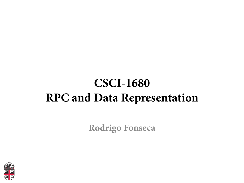### **CSCI-1680 RPC and Data Representation**

**Rodrigo Fonseca** 

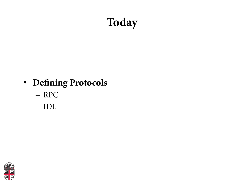## **Today**

#### • **Defning Protocols**

- RPC
- IDL

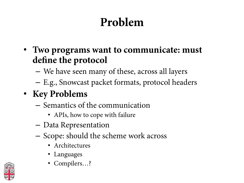# **Problem**

- **Two programs want to communicate: must defne the protocol** 
	- We have seen many of these, across all layers
	- E.g., Snowcast packet formats, protocol headers
- **Key Problems** 
	- Semantics of the communication
		- APIs, how to cope with failure
	- Data Representation
	- Scope: should the scheme work across
		- Architectures
		- Languages
		- Compilers…?

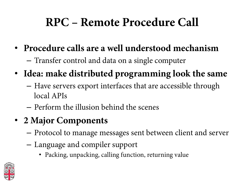## **RPC – Remote Procedure Call**

- **Procedure calls are a well understood mechanism** 
	- Transfer control and data on a single computer
- **Idea: make distributed programming look the same** 
	- Have servers export interfaces that are accessible through local APIs
	- Perform the illusion behind the scenes
- **2 Major Components** 
	- Protocol to manage messages sent between client and server
	- Language and compiler support
		- Packing, unpacking, calling function, returning value

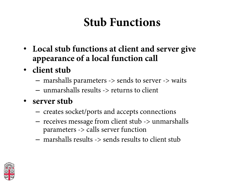## **Stub Functions**

- **Local stub functions at client and server give appearance of a local function call**
- **client stub** 
	- marshalls parameters -> sends to server -> waits
	- unmarshalls results -> returns to client
- **server stub** 
	- creates socket/ports and accepts connections
	- receives message from client stub -> unmarshalls parameters -> calls server function
	- marshalls results -> sends results to client stub

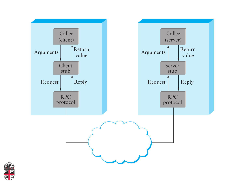

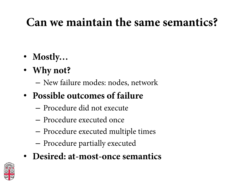## **Can we maintain the same semantics?**

- **Mostly…**
- **Why not?** 
	- New failure modes: nodes, network
- **Possible outcomes of failure** 
	- Procedure did not execute
	- Procedure executed once
	- Procedure executed multiple times
	- Procedure partially executed
- **Desired: at-most-once semantics**

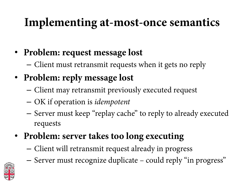## **Implementing at-most-once semantics**

- **Problem: request message lost** 
	- Client must retransmit requests when it gets no reply
- **Problem: reply message lost** 
	- Client may retransmit previously executed request
	- OK if operation is *idempotent*
	- Server must keep "replay cache" to reply to already executed requests
- **Problem: server takes too long executing** 
	- Client will retransmit request already in progress
	- Server must recognize duplicate could reply "in progress"

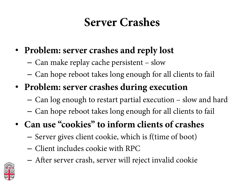### **Server Crashes**

- **Problem: server crashes and reply lost** 
	- Can make replay cache persistent slow
	- Can hope reboot takes long enough for all clients to fail
- **Problem: server crashes during execution** 
	- Can log enough to restart partial execution slow and hard
	- Can hope reboot takes long enough for all clients to fail
- **Can use "cookies" to inform clients of crashes** 
	- Server gives client cookie, which is f(time of boot)
	- Client includes cookie with RPC
	- Afer server crash, server will reject invalid cookie

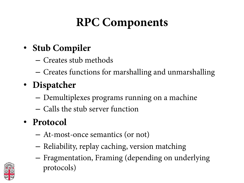## **RPC Components**

#### • **Stub Compiler**

- Creates stub methods
- Creates functions for marshalling and unmarshalling
- **Dispatcher** 
	- Demultiplexes programs running on a machine
	- Calls the stub server function
- **Protocol** 
	- At-most-once semantics (or not)
	- Reliability, replay caching, version matching
	- Fragmentation, Framing (depending on underlying protocols)

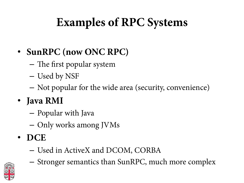## **Examples of RPC Systems**

#### • **SunRPC (now ONC RPC)**

- $-$  The first popular system
- Used by NSF
- Not popular for the wide area (security, convenience)
- **Java RMI** 
	- Popular with Java
	- Only works among JVMs
- **DCE** 
	- Used in ActiveX and DCOM, CORBA



– Stronger semantics than SunRPC, much more complex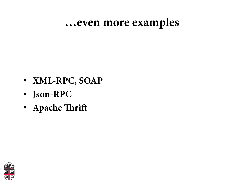#### **…even more examples**

- **XML-RPC, SOAP**
- **Json-RPC**
- **Apache Trif**

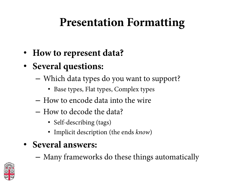## **Presentation Formatting**

- **How to represent data?**
- **Several questions:** 
	- Which data types do you want to support?
		- Base types, Flat types, Complex types
	- How to encode data into the wire
	- How to decode the data?
		- Self-describing (tags)
		- Implicit description (the ends *know*)
- **Several answers:** 
	- Many frameworks do these things automatically

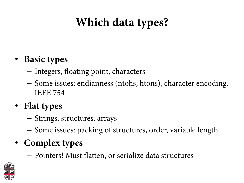## **Which data types?**

#### • **Basic types**

- Integers, foating point, characters
- Some issues: endianness (ntohs, htons), character encoding, IEEE 754

#### • **Flat types**

- Strings, structures, arrays
- Some issues: packing of structures, order, variable length

#### • **Complex types**

– Pointers! Must fatten, or serialize data structures

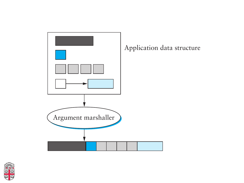

 $\overline{m}$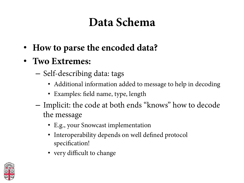### **Data Schema**

- **How to parse the encoded data?**
- **Two Extremes:** 
	- Self-describing data: tags
		- Additional information added to message to help in decoding
		- Examples: feld name, type, length
	- Implicit: the code at both ends "knows" how to decode the message
		- E.g., your Snowcast implementation
		- Interoperability depends on well defned protocol specifcation!
		- very difficult to change

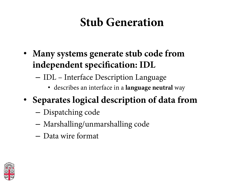### **Stub Generation**

- **Many systems generate stub code from independent specifcation: IDL** 
	- IDL Interface Description Language
		- describes an interface in a **language neutral** way
- **Separates logical description of data from** 
	- Dispatching code
	- Marshalling/unmarshalling code
	- Data wire format

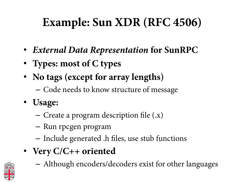## **Example: Sun XDR (RFC 4506)**

- *External Data Representation* **for SunRPC**
- **Types: most of C types**
- **No tags (except for array lengths)** 
	- Code needs to know structure of message
- **Usage:** 
	- Create a program description fle (.x)
	- Run rpcgen program
	- Include generated .h fles, use stub functions
- **Very C/C++ oriented**

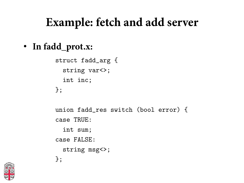### **Example: fetch and add server**

**Example: fetch and add server** • **In fadd\_prot.x:** 

> struct fadd\_arg { string var<>; int inc; };

union fadd\_res switch (bool error) { case TRUE: int sum; case FALSE: string msg<>; };

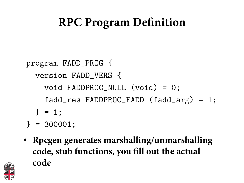### **RPC Program Defnition**

program FADD\_PROG { version FADD\_VERS { void FADDPROC\_NULL (void) = 0; fadd\_res FADDPROC\_FADD (fadd\_arg) = 1; } = 1;

- } = 300001;
- **Rpcgen generates marshalling/unmarshalling**<br>code stub functions you fill out the actual - prog, vers, marshaling function for arg and result • **Rpcgen generates marshalling/unmarshalling code, stub functions, you fll out the actual code**

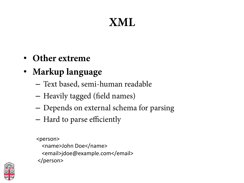## **XML**

- **Other extreme**
- **Markup language** 
	- Text based, semi-human readable
	- Heavily tagged (feld names)
	- Depends on external schema for parsing
	- Hard to parse efficiently

<person> <name>John Doe</name> <email>jdoe@example.com</email> </person> 

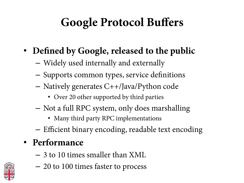## **Google Protocol Buffers**

- **Defned by Google, released to the public** 
	- Widely used internally and externally
	- Supports common types, service defnitions
	- Natively generates C++/Java/Python code
		- Over 20 other supported by third parties
	- Not a full RPC system, only does marshalling
		- Many third party RPC implementations
	- Efficient binary encoding, readable text encoding

#### • **Performance**

– 3 to 10 times smaller than XML

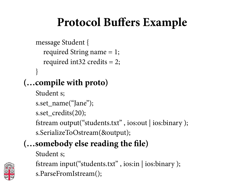## **Protocol Buffers Example**

```
message Student { 
  required String name = 1; 
  required int32 credits = 2; 
}
```
#### **(…compile with proto)**

Student s;

```
s.set_name("Jane");
```

```
s.set_credits(20);
```
fstream output("students.txt" , ios:out | ios:binary );

s.SerializeToOstream(&output);

#### **(…somebody else reading the fle)**

Student s;



- fstream input("students.txt" , ios:in | ios:binary );
	- s.ParseFromIstream();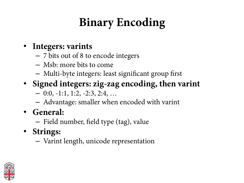# **Binary Encoding**

#### • **Integers: varints**

- 7 bits out of 8 to encode integers
- Msb: more bits to come
- Multi-byte integers: least signifcant group frst
- **Signed integers: zig-zag encoding, then varint**
	- $-0:0, -1:1, 1:2, -2:3, 2:4, \ldots$
	- Advantage: smaller when encoded with varint
- **General:** 
	- Field number, feld type (tag), value
- **Strings:** 
	- Varint length, unicode representation

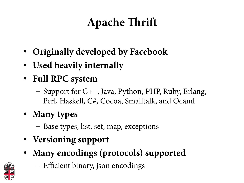# **Apache Trif**

- **Originally developed by Facebook**
- **Used heavily internally**
- **Full RPC system** 
	- Support for C++, Java, Python, PHP, Ruby, Erlang, Perl, Haskell, C#, Cocoa, Smalltalk, and Ocaml
- **Many types** 
	- Base types, list, set, map, exceptions
- **Versioning support**
- **Many encodings (protocols) supported**



– Efficient binary, json encodings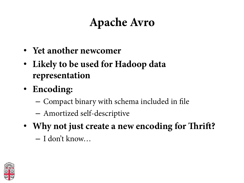## **Apache Avro**

- **Yet another newcomer**
- **Likely to be used for Hadoop data representation**
- **Encoding:** 
	- Compact binary with schema included in fle
	- Amortized self-descriptive
- **Why not just create a new encoding for Trif?** 
	- I don't know…